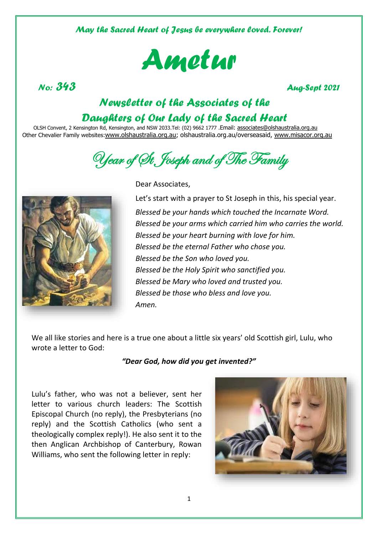*May the Sacred Heart of Jesus be everywhere loved. Forever!*



*No: 343 Aug-Sept 2021* 

# *Newsletter of the Associates of the Daughters of Our Lady of the Sacred Heart*

OLSH Convent, 2 Kensington Rd, Kensington, and NSW 2033.Tel: (02) 9662 1777 .Email: associates@olshaustralia.org.au Other Chevalier Family websites:www.olshaustralia.org.au; olshaustralia.org.au/overseasaid, www.misacor.org.au

Uear of St. Joseph and of The Family



Dear Associates,

Let's start with a prayer to St Joseph in this, his special year. *Blessed be your hands which touched the Incarnate Word. Blessed be your arms which carried him who carries the world. Blessed be your heart burning with love for him. Blessed be the eternal Father who chose you. Blessed be the Son who loved you. Blessed be the Holy Spirit who sanctified you. Blessed be Mary who loved and trusted you. Blessed be those who bless and love you. Amen.*

We all like stories and here is a true one about a little six years' old Scottish girl, Lulu, who wrote a letter to God:

### *"Dear God, how did you get invented?"*

Lulu's father, who was not a believer, sent her letter to various church leaders: The Scottish Episcopal Church (no reply), the Presbyterians (no reply) and the Scottish Catholics (who sent a theologically complex reply!). He also sent it to the then Anglican Archbishop of Canterbury, Rowan Williams, who sent the following letter in reply:

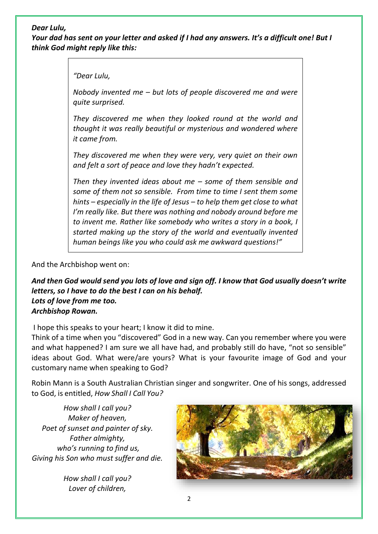### *Dear Lulu,*

*Your dad has sent on your letter and asked if I had any answers. It's a difficult one! But I think God might reply like this:*

*"Dear Lulu,*

*Nobody invented me – but lots of people discovered me and were quite surprised.*

*They discovered me when they looked round at the world and thought it was really beautiful or mysterious and wondered where it came from.*

*They discovered me when they were very, very quiet on their own and felt a sort of peace and love they hadn't expected.*

*Then they invented ideas about me – some of them sensible and some of them not so sensible. From time to time I sent them some hints – especially in the life of Jesus – to help them get close to what I'm really like. But there was nothing and nobody around before me to invent me. Rather like somebody who writes a story in a book, I started making up the story of the world and eventually invented human beings like you who could ask me awkward questions!"*

And the Archbishop went on:

*And then God would send you lots of love and sign off. I know that God usually doesn't write letters, so I have to do the best I can on his behalf. Lots of love from me too. Archbishop Rowan.*

I hope this speaks to your heart; I know it did to mine.

Think of a time when you "discovered" God in a new way. Can you remember where you were and what happened? I am sure we all have had, and probably still do have, "not so sensible" ideas about God. What were/are yours? What is your favourite image of God and your customary name when speaking to God?

Robin Mann is a South Australian Christian singer and songwriter. One of his songs, addressed to God, is entitled, *How Shall I Call You?*

*How shall I call you? Maker of heaven, Poet of sunset and painter of sky. Father almighty, who's running to find us, Giving his Son who must suffer and die.*

> *How shall I call you? Lover of children,*

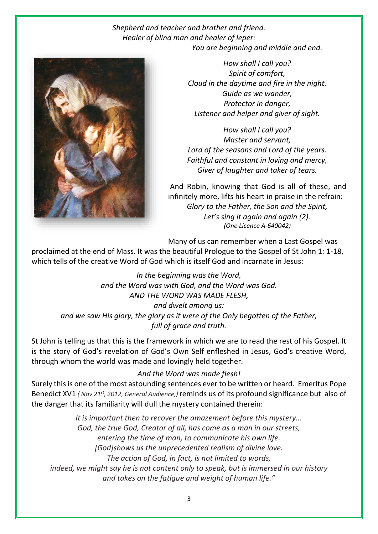### *Shepherd and teacher and brother and friend. Healer of blind man and healer of leper: You are beginning and middle and end.*



*How shall I call you? Spirit of comfort, Cloud in the daytime and fire in the night. Guide as we wander, Protector in danger, Listener and helper and giver of sight.* 

*How shall I call you? Master and servant, Lord of the seasons and Lord of the years. Faithful and constant in loving and mercy, Giver of laughter and taker of tears.* 

And Robin, knowing that God is all of these, and infinitely more, lifts his heart in praise in the refrain: *Glory to the Father, the Son and the Spirit, Let's sing it again and again (2). (One Licence A-640042)*

Many of us can remember when a Last Gospel was

proclaimed at the end of Mass. It was the beautiful Prologue to the Gospel of St John 1: 1-18, which tells of the creative Word of God which is itself God and incarnate in Jesus:

*In the beginning was the Word, and the Word was with God, and the Word was God. AND THE WORD WAS MADE FLESH, and dwelt among us: and we saw His glory, the glory as it were of the Only begotten of the Father, full of grace and truth.*

St John is telling us that this is the framework in which we are to read the rest of his Gospel. It is the story of God's revelation of God's Own Self enfleshed in Jesus, God's creative Word, through whom the world was made and lovingly held together.

### *And the Word was made flesh!*

Surely this is one of the most astounding sentences ever to be written or heard. Emeritus Pope Benedict XV1 *( Nov 21st, 2012, General Audience,)* reminds us of its profound significance but also of the danger that its familiarity will dull the mystery contained therein:

*It is important then to recover the amazement before this mystery... God, the true God, Creator of all, has come as a man in our streets, entering the time of man, to communicate his own life. [God]shows us the unprecedented realism of divine love. The action of God, in fact, is not limited to words, indeed, we might say he is not content only to speak, but is immersed in our history and takes on the fatigue and weight of human life."*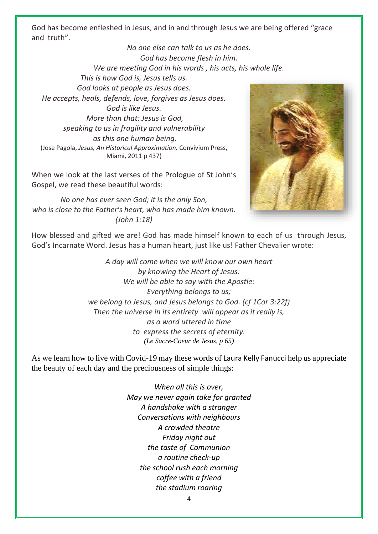God has become enfleshed in Jesus, and in and through Jesus we are being offered "grace and truth".

*No one else can talk to us as he does. God has become flesh in him. We are meeting God in his words , his acts, his whole life. This is how God is, Jesus tells us. God looks at people as Jesus does. He accepts, heals, defends, love, forgives as Jesus does. God is like Jesus. More than that: Jesus is God, speaking to us in fragility and vulnerability as this one human being.*  (Jose Pagola, *Jesus, An Historical Approximation,* Convivium Press, Miami, 2011 p 437)

When we look at the last verses of the Prologue of St John's Gospel, we read these beautiful words:

*No one has ever seen God; it is the only Son, who is close to the Father's heart, who has made him known. (John 1:18)*



How blessed and gifted we are! God has made himself known to each of us through Jesus, God's Incarnate Word. Jesus has a human heart, just like us! Father Chevalier wrote:

> *A day will come when we will know our own heart by knowing the Heart of Jesus: We will be able to say with the Apostle: Everything belongs to us; we belong to Jesus, and Jesus belongs to God. (cf 1Cor 3:22f) Then the universe in its entirety will appear as it really is, as a word uttered in time to express the secrets of eternity. (Le Sacrė-Coeur de Jesus, p 65)*

As we learn how to live with Covid-19 may these words of Laura Kelly Fanucci help us appreciate the beauty of each day and the preciousness of simple things:

> *When all this is over, May we never again take for granted A handshake with a stranger Conversations with neighbours A crowded theatre Friday night out the taste of Communion a routine check-up the school rush each morning coffee with a friend the stadium roaring*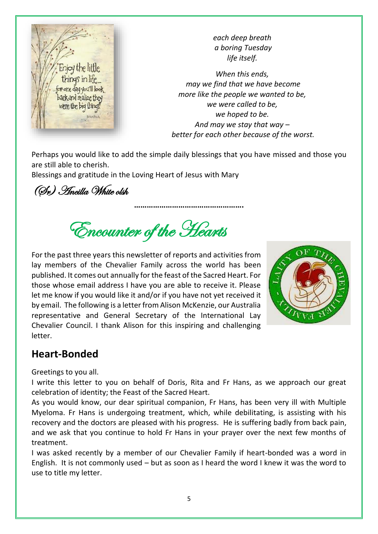

*each deep breath a boring Tuesday life itself.* 

*When this ends, may we find that we have become more like the people we wanted to be, we were called to be, we hoped to be. And may we stay that way – better for each other because of the worst.*

Perhaps you would like to add the simple daily blessings that you have missed and those you are still able to cherish.

**…………………………………………….**

Blessings and gratitude in the Loving Heart of Jesus with Mary

(Sr) Ancilla White olsh

Encounter of the Hearts

For the past three years this newsletter of reports and activities from lay members of the Chevalier Family across the world has been published. It comes out annually for the feast of the Sacred Heart. For those whose email address I have you are able to receive it. Please let me know if you would like it and/or if you have not yet received it by email. The following is a letter from Alison McKenzie, our Australia representative and General Secretary of the International Lay Chevalier Council. I thank Alison for this inspiring and challenging letter.



# **Heart-Bonded**

Greetings to you all.

I write this letter to you on behalf of Doris, Rita and Fr Hans, as we approach our great celebration of identity; the Feast of the Sacred Heart.

As you would know, our dear spiritual companion, Fr Hans, has been very ill with Multiple Myeloma. Fr Hans is undergoing treatment, which, while debilitating, is assisting with his recovery and the doctors are pleased with his progress. He is suffering badly from back pain, and we ask that you continue to hold Fr Hans in your prayer over the next few months of treatment.

I was asked recently by a member of our Chevalier Family if heart-bonded was a word in English. It is not commonly used – but as soon as I heard the word I knew it was the word to use to title my letter.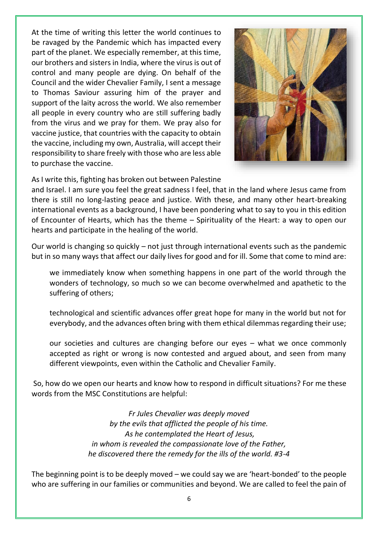At the time of writing this letter the world continues to be ravaged by the Pandemic which has impacted every part of the planet. We especially remember, at this time, our brothers and sisters in India, where the virus is out of control and many people are dying. On behalf of the Council and the wider Chevalier Family, I sent a message to Thomas Saviour assuring him of the prayer and support of the laity across the world. We also remember all people in every country who are still suffering badly from the virus and we pray for them. We pray also for vaccine justice, that countries with the capacity to obtain the vaccine, including my own, Australia, will accept their responsibility to share freely with those who are less able to purchase the vaccine.



As I write this, fighting has broken out between Palestine

and Israel. I am sure you feel the great sadness I feel, that in the land where Jesus came from there is still no long-lasting peace and justice. With these, and many other heart-breaking international events as a background, I have been pondering what to say to you in this edition of Encounter of Hearts, which has the theme – Spirituality of the Heart: a way to open our hearts and participate in the healing of the world.

Our world is changing so quickly – not just through international events such as the pandemic but in so many ways that affect our daily lives for good and for ill. Some that come to mind are:

we immediately know when something happens in one part of the world through the wonders of technology, so much so we can become overwhelmed and apathetic to the suffering of others;

technological and scientific advances offer great hope for many in the world but not for everybody, and the advances often bring with them ethical dilemmas regarding their use;

our societies and cultures are changing before our eyes – what we once commonly accepted as right or wrong is now contested and argued about, and seen from many different viewpoints, even within the Catholic and Chevalier Family.

So, how do we open our hearts and know how to respond in difficult situations? For me these words from the MSC Constitutions are helpful:

> *Fr Jules Chevalier was deeply moved by the evils that afflicted the people of his time. As he contemplated the Heart of Jesus, in whom is revealed the compassionate love of the Father, he discovered there the remedy for the ills of the world. #3-4*

The beginning point is to be deeply moved – we could say we are 'heart-bonded' to the people who are suffering in our families or communities and beyond. We are called to feel the pain of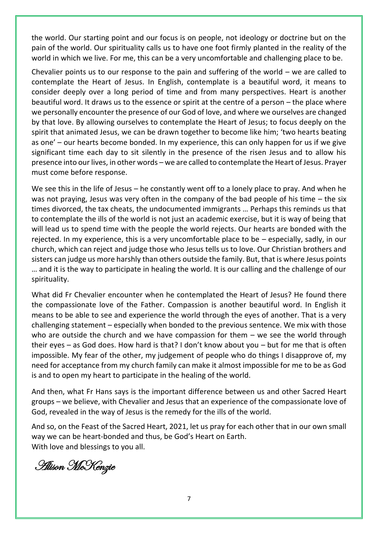the world. Our starting point and our focus is on people, not ideology or doctrine but on the pain of the world. Our spirituality calls us to have one foot firmly planted in the reality of the world in which we live. For me, this can be a very uncomfortable and challenging place to be.

Chevalier points us to our response to the pain and suffering of the world  $-$  we are called to contemplate the Heart of Jesus. In English, contemplate is a beautiful word, it means to consider deeply over a long period of time and from many perspectives. Heart is another beautiful word. It draws us to the essence or spirit at the centre of a person – the place where we personally encounter the presence of our God of love, and where we ourselves are changed by that love. By allowing ourselves to contemplate the Heart of Jesus; to focus deeply on the spirit that animated Jesus, we can be drawn together to become like him; 'two hearts beating as one' – our hearts become bonded. In my experience, this can only happen for us if we give significant time each day to sit silently in the presence of the risen Jesus and to allow his presence into our lives, in other words – we are called to contemplate the Heart of Jesus. Prayer must come before response.

We see this in the life of Jesus – he constantly went off to a lonely place to pray. And when he was not praying, Jesus was very often in the company of the bad people of his time – the six times divorced, the tax cheats, the undocumented immigrants … Perhaps this reminds us that to contemplate the ills of the world is not just an academic exercise, but it is way of being that will lead us to spend time with the people the world rejects. Our hearts are bonded with the rejected. In my experience, this is a very uncomfortable place to be – especially, sadly, in our church, which can reject and judge those who Jesus tells us to love. Our Christian brothers and sisters can judge us more harshly than others outside the family. But, that is where Jesus points … and it is the way to participate in healing the world. It is our calling and the challenge of our spirituality.

What did Fr Chevalier encounter when he contemplated the Heart of Jesus? He found there the compassionate love of the Father. Compassion is another beautiful word. In English it means to be able to see and experience the world through the eyes of another. That is a very challenging statement – especially when bonded to the previous sentence. We mix with those who are outside the church and we have compassion for them  $-$  we see the world through their eyes – as God does. How hard is that? I don't know about you – but for me that is often impossible. My fear of the other, my judgement of people who do things I disapprove of, my need for acceptance from my church family can make it almost impossible for me to be as God is and to open my heart to participate in the healing of the world.

And then, what Fr Hans says is the important difference between us and other Sacred Heart groups – we believe, with Chevalier and Jesus that an experience of the compassionate love of God, revealed in the way of Jesus is the remedy for the ills of the world.

And so, on the Feast of the Sacred Heart, 2021, let us pray for each other that in our own small way we can be heart-bonded and thus, be God's Heart on Earth. With love and blessings to you all.

Alison McKenzie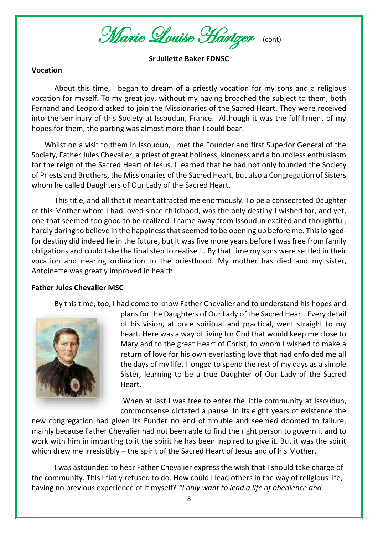Marie Louise Hartzer(cont)

**Sr Juliette Baker FDNSC**

### **Vocation**

About this time, I began to dream of a priestly vocation for my sons and a religious vocation for myself. To my great joy, without my having broached the subject to them, both Fernand and Leopold asked to join the Missionaries of the Sacred Heart. They were received into the seminary of this Society at Issoudun, France. Although it was the fulfillment of my hopes for them, the parting was almost more than I could bear.

 Whilst on a visit to them in Issoudun, I met the Founder and first Superior General of the Society, Father Jules Chevalier, a priest of great holiness, kindness and a boundless enthusiasm for the reign of the Sacred Heart of Jesus. I learned that he had not only founded the Society of Priests and Brothers, the Missionaries of the Sacred Heart, but also a Congregation of Sisters whom he called Daughters of Our Lady of the Sacred Heart.

This title, and all that it meant attracted me enormously. To be a consecrated Daughter of this Mother whom I had loved since childhood, was the only destiny I wished for, and yet, one that seemed too good to be realized. I came away from Issoudun excited and thoughtful, hardly daring to believe in the happiness that seemed to be opening up before me. This longedfor destiny did indeed lie in the future, but it was five more years before I was free from family obligations and could take the final step to realise it. By that time my sons were settled in their vocation and nearing ordination to the priesthood. My mother has died and my sister, Antoinette was greatly improved in health.

### **Father Jules Chevalier MSC**

By this time, too, I had come to know Father Chevalier and to understand his hopes and



plans for the Daughters of Our Lady of the Sacred Heart. Every detail of his vision, at once spiritual and practical, went straight to my heart. Here was a way of living for God that would keep me close to Mary and to the great Heart of Christ, to whom I wished to make a return of love for his own everlasting love that had enfolded me all the days of my life. I longed to spend the rest of my days as a simple Sister, learning to be a true Daughter of Our Lady of the Sacred Heart.

When at last I was free to enter the little community at Issoudun, commonsense dictated a pause. In its eight years of existence the

new congregation had given its Funder no end of trouble and seemed doomed to failure, mainly because Father Chevalier had not been able to find the right person to govern it and to work with him in imparting to it the spirit he has been inspired to give it. But it was the spirit which drew me irresistibly – the spirit of the Sacred Heart of Jesus and of his Mother.

I was astounded to hear Father Chevalier express the wish that I should take charge of the community. This I flatly refused to do. How could I lead others in the way of religious life, having no previous experience of it myself? *"I only want to lead a life of obedience and*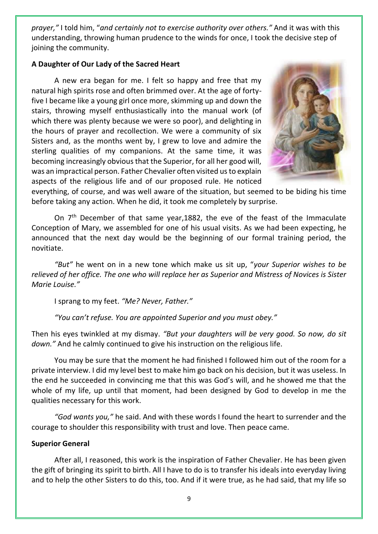*prayer,"* I told him, "*and certainly not to exercise authority over others."* And it was with this understanding, throwing human prudence to the winds for once, I took the decisive step of joining the community.

### **A Daughter of Our Lady of the Sacred Heart**

A new era began for me. I felt so happy and free that my natural high spirits rose and often brimmed over. At the age of fortyfive I became like a young girl once more, skimming up and down the stairs, throwing myself enthusiastically into the manual work (of which there was plenty because we were so poor), and delighting in the hours of prayer and recollection. We were a community of six Sisters and, as the months went by, I grew to love and admire the sterling qualities of my companions. At the same time, it was becoming increasingly obvious that the Superior, for all her good will, was an impractical person. Father Chevalier often visited us to explain aspects of the religious life and of our proposed rule. He noticed



everything, of course, and was well aware of the situation, but seemed to be biding his time before taking any action. When he did, it took me completely by surprise.

On  $7<sup>th</sup>$  December of that same year, 1882, the eve of the feast of the Immaculate Conception of Mary, we assembled for one of his usual visits. As we had been expecting, he announced that the next day would be the beginning of our formal training period, the novitiate.

*"But"* he went on in a new tone which make us sit up, "*your Superior wishes to be relieved of her office. The one who will replace her as Superior and Mistress of Novices is Sister Marie Louise."*

I sprang to my feet. *"Me? Never, Father."*

*"You can't refuse. You are appointed Superior and you must obey."* 

Then his eyes twinkled at my dismay. *"But your daughters will be very good. So now, do sit down."* And he calmly continued to give his instruction on the religious life.

You may be sure that the moment he had finished I followed him out of the room for a private interview. I did my level best to make him go back on his decision, but it was useless. In the end he succeeded in convincing me that this was God's will, and he showed me that the whole of my life, up until that moment, had been designed by God to develop in me the qualities necessary for this work.

*"God wants you,"* he said. And with these words I found the heart to surrender and the courage to shoulder this responsibility with trust and love. Then peace came.

### **Superior General**

After all, I reasoned, this work is the inspiration of Father Chevalier. He has been given the gift of bringing its spirit to birth. All I have to do is to transfer his ideals into everyday living and to help the other Sisters to do this, too. And if it were true, as he had said, that my life so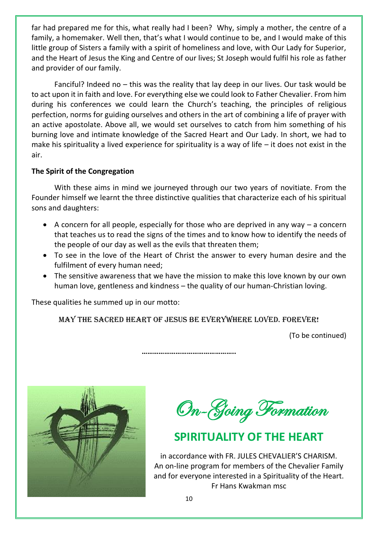far had prepared me for this, what really had I been? Why, simply a mother, the centre of a family, a homemaker. Well then, that's what I would continue to be, and I would make of this little group of Sisters a family with a spirit of homeliness and love, with Our Lady for Superior, and the Heart of Jesus the King and Centre of our lives; St Joseph would fulfil his role as father and provider of our family.

Fanciful? Indeed no – this was the reality that lay deep in our lives. Our task would be to act upon it in faith and love. For everything else we could look to Father Chevalier. From him during his conferences we could learn the Church's teaching, the principles of religious perfection, norms for guiding ourselves and others in the art of combining a life of prayer with an active apostolate. Above all, we would set ourselves to catch from him something of his burning love and intimate knowledge of the Sacred Heart and Our Lady. In short, we had to make his spirituality a lived experience for spirituality is a way of life  $-$  it does not exist in the air.

### **The Spirit of the Congregation**

With these aims in mind we journeyed through our two years of novitiate. From the Founder himself we learnt the three distinctive qualities that characterize each of his spiritual sons and daughters:

- A concern for all people, especially for those who are deprived in any way a concern that teaches us to read the signs of the times and to know how to identify the needs of the people of our day as well as the evils that threaten them;
- To see in the love of the Heart of Christ the answer to every human desire and the fulfilment of every human need;
- The sensitive awareness that we have the mission to make this love known by our own human love, gentleness and kindness – the quality of our human-Christian loving.

These qualities he summed up in our motto:

MAY THE SACRED HEART OF JESUS BE EVERYWHERE LOVED. FOREVER!

**…………………………………………..**

(To be continued)



On-Going Formation

# **SPIRITUALITY OF THE HEART**

in accordance with FR. JULES CHEVALIER'S CHARISM. An on-line program for members of the Chevalier Family and for everyone interested in a Spirituality of the Heart. Fr Hans Kwakman msc

10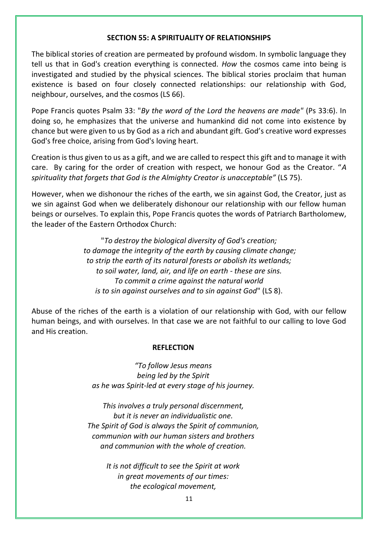### **SECTION 55: A SPIRITUALITY OF RELATIONSHIPS**

The biblical stories of creation are permeated by profound wisdom. In symbolic language they tell us that in God's creation everything is connected. *How* the cosmos came into being is investigated and studied by the physical sciences. The biblical stories proclaim that human existence is based on four closely connected relationships: our relationship with God, neighbour, ourselves, and the cosmos (LS 66).

Pope Francis quotes Psalm 33: "*By the word of the Lord the heavens are made"* (Ps 33:6). In doing so, he emphasizes that the universe and humankind did not come into existence by chance but were given to us by God as a rich and abundant gift. God's creative word expresses God's free choice, arising from God's loving heart.

Creation is thus given to us as a gift, and we are called to respect this gift and to manage it with care. By caring for the order of creation with respect, we honour God as the Creator. "*A spirituality that forgets that God is the Almighty Creator is unacceptable"* (LS 75).

However, when we dishonour the riches of the earth, we sin against God, the Creator, just as we sin against God when we deliberately dishonour our relationship with our fellow human beings or ourselves. To explain this, Pope Francis quotes the words of Patriarch Bartholomew, the leader of the Eastern Orthodox Church:

> "*To destroy the biological diversity of God's creation; to damage the integrity of the earth by causing climate change; to strip the earth of its natural forests or abolish its wetlands; to soil water, land, air, and life on earth - these are sins. To commit a crime against the natural world is to sin against ourselves and to sin against God*" (LS 8).

Abuse of the riches of the earth is a violation of our relationship with God, with our fellow human beings, and with ourselves. In that case we are not faithful to our calling to love God and His creation.

### **REFLECTION**

*"To follow Jesus means being led by the Spirit as he was Spirit-led at every stage of his journey.* 

*This involves a truly personal discernment, but it is never an individualistic one. The Spirit of God is always the Spirit of communion, communion with our human sisters and brothers and communion with the whole of creation.* 

> *It is not difficult to see the Spirit at work in great movements of our times: the ecological movement,*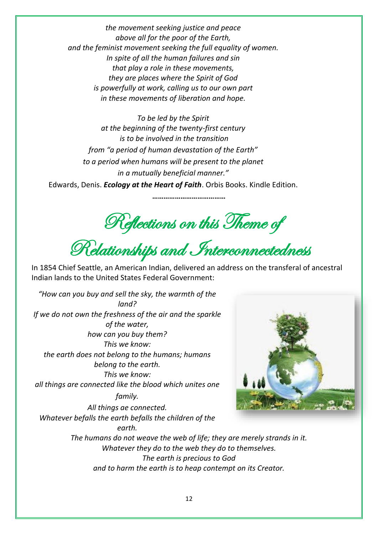*the movement seeking justice and peace above all for the poor of the Earth, and the feminist movement seeking the full equality of women. In spite of all the human failures and sin that play a role in these movements, they are places where the Spirit of God is powerfully at work, calling us to our own part in these movements of liberation and hope.* 

*To be led by the Spirit at the beginning of the twenty-first century is to be involved in the transition from "a period of human devastation of the Earth" to a period when humans will be present to the planet in a mutually beneficial manner."* Edwards, Denis. *Ecology at the Heart of Faith*. Orbis Books. Kindle Edition.

Reflections on this Theme of

**…………………………………**

Relationships and Interconnectedness

In 1854 Chief Seattle, an American Indian, delivered an address on the transferal of ancestral Indian lands to the United States Federal Government:

*"How can you buy and sell the sky, the warmth of the land? If we do not own the freshness of the air and the sparkle of the water, how can you buy them? This we know: the earth does not belong to the humans; humans belong to the earth. This we know: all things are connected like the blood which unites one* 

*family.* 

*All things ae connected. Whatever befalls the earth befalls the children of the earth.*



*The humans do not weave the web of life; they are merely strands in it. Whatever they do to the web they do to themselves. The earth is precious to God and to harm the earth is to heap contempt on its Creator.*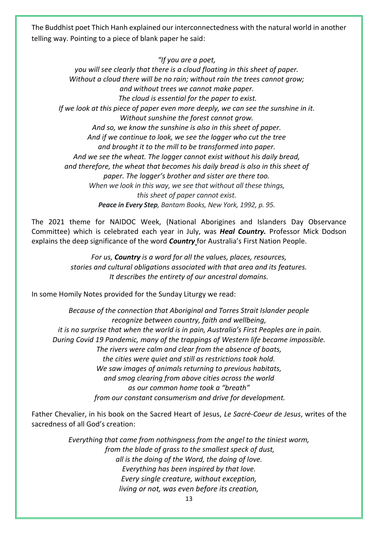The Buddhist poet Thich Hanh explained our interconnectedness with the natural world in another telling way. Pointing to a piece of blank paper he said:

*"If you are a poet,* 

*you will see clearly that there is a cloud floating in this sheet of paper. Without a cloud there will be no rain; without rain the trees cannot grow; and without trees we cannot make paper. The cloud is essential for the paper to exist. If we look at this piece of paper even more deeply, we can see the sunshine in it. Without sunshine the forest cannot grow. And so, we know the sunshine is also in this sheet of paper. And if we continue to look, we see the logger who cut the tree and brought it to the mill to be transformed into paper. And we see the wheat. The logger cannot exist without his daily bread, and therefore, the wheat that becomes his daily bread is also in this sheet of paper. The logger's brother and sister are there too. When we look in this way, we see that without all these things, this sheet of paper cannot exist. Peace in Every Step, Bantam Books, New York, 1992, p. 95.*

The 2021 theme for NAIDOC Week, (National Aborigines and Islanders Day Observance Committee) which is celebrated each year in July, was *Heal Country.* Professor Mick Dodson explains the deep significance of the word *Country* for Australia's First Nation People.

> *For us, Country is a word for all the values, places, resources, stories and cultural obligations associated with that area and its features. It describes the entirety of our ancestral domains.*

In some Homily Notes provided for the Sunday Liturgy we read:

*Because of the connection that Aboriginal and Torres Strait Islander people recognize between country, faith and wellbeing, it is no surprise that when the world is in pain, Australia's First Peoples are in pain. During Covid 19 Pandemic, many of the trappings of Western life became impossible. The rivers were calm and clear from the absence of boats, the cities were quiet and still as restrictions took hold. We saw images of animals returning to previous habitats, and smog clearing from above cities across the world as our common home took a "breath" from our constant consumerism and drive for development.*

Father Chevalier, in his book on the Sacred Heart of Jesus, *Le Sacrė-Coeur de Jesus*, writes of the sacredness of all God's creation:

> *Everything that came from nothingness from the angel to the tiniest worm, from the blade of grass to the smallest speck of dust, all is the doing of the Word, the doing of love. Everything has been inspired by that love. Every single creature, without exception, living or not, was even before its creation,*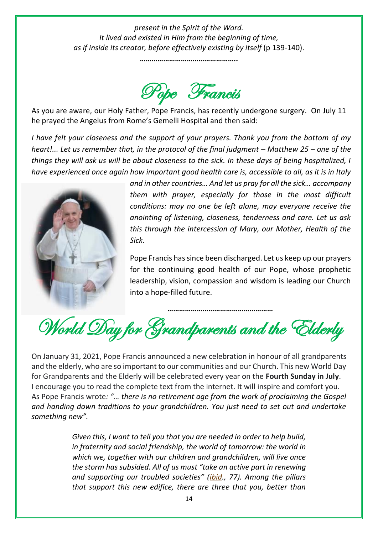*present in the Spirit of the Word. It lived and existed in Him from the beginning of time, as if inside its creator, before effectively existing by itself* (p 139-140).

**…………………………………………..**



As you are aware, our Holy Father, Pope Francis, has recently undergone surgery. On July 11 he prayed the Angelus from Rome's Gemelli Hospital and then said:

*I have felt your closeness and the support of your prayers. Thank you from the bottom of my heart!... Let us remember that, in the protocol of the final judgment – Matthew 25 – one of the things they will ask us will be about closeness to the sick. In these days of being hospitalized, I have experienced once again how important good health care is, accessible to all, as it is in Italy* 



*and in other countries… And let us pray for all the sick… accompany them with prayer, especially for those in the most difficult conditions: may no one be left alone, may everyone receive the anointing of listening, closeness, tenderness and care. Let us ask this through the intercession of Mary, our Mother, Health of the Sick.*

Pope Francis has since been discharged. Let us keep up our prayers for the continuing good health of our Pope, whose prophetic leadership, vision, compassion and wisdom is leading our Church into a hope-filled future.

**………………………………………………** World Day for Grandparents and the Elderly

On January 31, 2021, Pope Francis announced a new celebration in honour of all grandparents and the elderly, who are so important to our communities and our Church. This new World Day for Grandparents and the Elderly will be celebrated every year on the **Fourth Sunday in July**. I encourage you to read the complete text from the internet. It will inspire and comfort you. As Pope Francis wrote*: "… there is no retirement age from the work of proclaiming the Gospel and handing down traditions to your grandchildren. You just need to set out and undertake something new".*

> *Given this, I want to tell you that you are needed in order to help build, in fraternity and social friendship, the world of tomorrow: the world in which we, together with our children and grandchildren, will live once the storm has subsided. All of us must "take an active part in renewing and supporting our troubled societies" (ibid., 77). Among the pillars that support this new edifice, there are three that you, better than*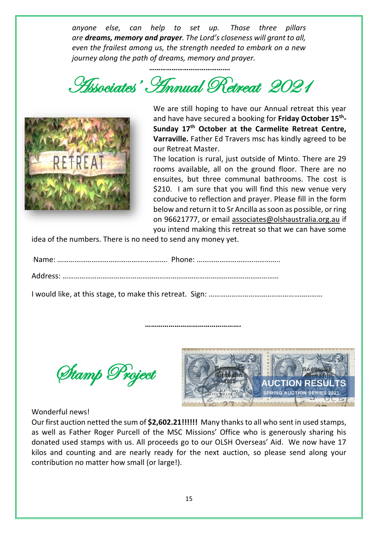*anyone else, can help to set up. Those three pillars are dreams, memory and prayer. The Lord's closeness will grant to all, even the frailest among us, the strength needed to embark on a new journey along the path of dreams, memory and prayer.*

*…………………………………….* Associates' Annual Retreat 2021



We are still hoping to have our Annual retreat this year and have have secured a booking for **Friday October 15th - Sunday 17th October at the Carmelite Retreat Centre, Varraville.** Father Ed Travers msc has kindly agreed to be our Retreat Master.

The location is rural, just outside of Minto. There are 29 rooms available, all on the ground floor. There are no ensuites, but three communal bathrooms. The cost is \$210. I am sure that you will find this new venue very conducive to reflection and prayer. Please fill in the form below and return it to Sr Ancilla as soon as possible, or ring on 96621777, or email associates@olshaustralia.org.au if you intend making this retreat so that we can have some

idea of the numbers. There is no need to send any money yet.

Name: …………………………………………………. Phone: ……………………………………..

Address: ……………………………………………………………………………………………………

I would like, at this stage, to make this retreat. Sign: ……………………………………………………

 **………………………………………….**

Stamp Project



### Wonderful news!

Our first auction netted the sum of **\$2,602.21!!!!!!** Many thanks to all who sent in used stamps, as well as Father Roger Purcell of the MSC Missions' Office who is generously sharing his donated used stamps with us. All proceeds go to our OLSH Overseas' Aid. We now have 17 kilos and counting and are nearly ready for the next auction, so please send along your contribution no matter how small (or large!).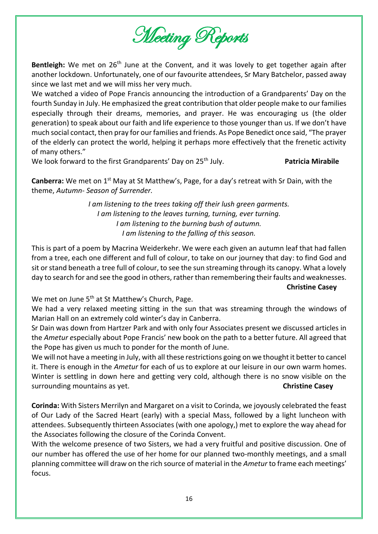

Bentleigh: We met on 26<sup>th</sup> June at the Convent, and it was lovely to get together again after another lockdown. Unfortunately, one of our favourite attendees, Sr Mary Batchelor, passed away since we last met and we will miss her very much.

We watched a video of Pope Francis announcing the introduction of a Grandparents' Day on the fourth Sunday in July. He emphasized the great contribution that older people make to our families especially through their dreams, memories, and prayer. He was encouraging us (the older generation) to speak about our faith and life experience to those younger than us. If we don't have much social contact, then pray for our families and friends. As Pope Benedict once said, "The prayer of the elderly can protect the world, helping it perhaps more effectively that the frenetic activity of many others."

We look forward to the first Grandparents' Day on 25<sup>th</sup> July. **Patricia Mirabile Patricia Mirabile** 

**Canberra:** We met on 1<sup>st</sup> May at St Matthew's, Page, for a day's retreat with Sr Dain, with the theme, *Autumn- Season of Surrender.* 

> *I am listening to the trees taking off their lush green garments. I am listening to the leaves turning, turning, ever turning. I am listening to the burning bush of autumn. I am listening to the falling of this season.*

This is part of a poem by Macrina Weiderkehr. We were each given an autumn leaf that had fallen from a tree, each one different and full of colour, to take on our journey that day: to find God and sit or stand beneath a tree full of colour, to see the sun streaming through its canopy. What a lovely day to search for and see the good in others, rather than remembering their faults and weaknesses. **Christine Casey**

We met on June  $5<sup>th</sup>$  at St Matthew's Church, Page.

We had a very relaxed meeting sitting in the sun that was streaming through the windows of Marian Hall on an extremely cold winter's day in Canberra.

Sr Dain was down from Hartzer Park and with only four Associates present we discussed articles in the *Ametur e*specially about Pope Francis' new book on the path to a better future. All agreed that the Pope has given us much to ponder for the month of June.

We will not have a meeting in July, with all these restrictions going on we thought it better to cancel it. There is enough in the *Ametur* for each of us to explore at our leisure in our own warm homes. Winter is settling in down here and getting very cold, although there is no snow visible on the surrounding mountains as yet. **Christine Casey**

**Corinda:** With Sisters Merrilyn and Margaret on a visit to Corinda, we joyously celebrated the feast of Our Lady of the Sacred Heart (early) with a special Mass, followed by a light luncheon with attendees. Subsequently thirteen Associates (with one apology,) met to explore the way ahead for the Associates following the closure of the Corinda Convent.

With the welcome presence of two Sisters, we had a very fruitful and positive discussion. One of our number has offered the use of her home for our planned two-monthly meetings, and a small planning committee will draw on the rich source of material in the *Ametur* to frame each meetings' focus.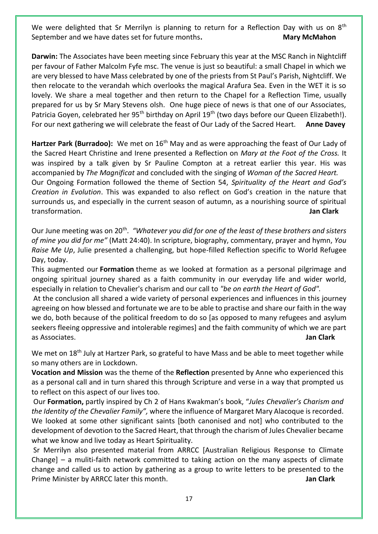We were delighted that Sr Merrilyn is planning to return for a Reflection Day with us on  $8<sup>th</sup>$ September and we have dates set for future months. Many Mary McMahon

**Darwin:** The Associates have been meeting since February this year at the MSC Ranch in Nightcliff per favour of Father Malcolm Fyfe msc. The venue is just so beautiful: a small Chapel in which we are very blessed to have Mass celebrated by one of the priests from St Paul's Parish, Nightcliff. We then relocate to the verandah which overlooks the magical Arafura Sea. Even in the WET it is so lovely. We share a meal together and then return to the Chapel for a Reflection Time, usually prepared for us by Sr Mary Stevens olsh. One huge piece of news is that one of our Associates, Patricia Goyen, celebrated her 95<sup>th</sup> birthday on April 19<sup>th</sup> (two days before our Queen Elizabeth!). For our next gathering we will celebrate the feast of Our Lady of the Sacred Heart. **Anne Davey** 

Hartzer Park (Burradoo): We met on 16<sup>th</sup> May and as were approaching the feast of Our Lady of the Sacred Heart Christine and Irene presented a Reflection on *Mary at the Foot of the Cross.* It was inspired by a talk given by Sr Pauline Compton at a retreat earlier this year. His was accompanied by *The Magnificat* and concluded with the singing of *Woman of the Sacred Heart.*  Our Ongoing Formation followed the theme of Section 54, *Spirituality of the Heart and God's Creation in Evolution*. This was expanded to also reflect on God's creation in the nature that surrounds us, and especially in the current season of autumn, as a nourishing source of spiritual transformation. **Jan Clark**

Our June meeting was on 20<sup>th</sup>. "Whatever you did for one of the least of these brothers and sisters *of mine you did for me"* (Matt 24:40). In scripture, biography, commentary, prayer and hymn, *You Raise Me Up*, Julie presented a challenging, but hope-filled Reflection specific to World Refugee Day, today.

This augmented our **Formation** theme as we looked at formation as a personal pilgrimage and ongoing spiritual journey shared as a faith community in our everyday life and wider world, especially in relation to Chevalier's charism and our call to *"be on earth the Heart of God".*

At the conclusion all shared a wide variety of personal experiences and influences in this journey agreeing on how blessed and fortunate we are to be able to practise and share our faith in the way we do, both because of the political freedom to do so [as opposed to many refugees and asylum seekers fleeing oppressive and intolerable regimes] and the faith community of which we are part as Associates. **Jan Clark**

We met on 18<sup>th</sup> July at Hartzer Park, so grateful to have Mass and be able to meet together while so many others are in Lockdown.

**Vocation and Mission** was the theme of the **Reflection** presented by Anne who experienced this as a personal call and in turn shared this through Scripture and verse in a way that prompted us to reflect on this aspect of our lives too.

Our **Formation,** partly inspired by Ch 2 of Hans Kwakman's book, "*Jules Chevalier's Charism and the Identity of the Chevalier Family",* where the influence of Margaret Mary Alacoque is recorded. We looked at some other significant saints [both canonised and not] who contributed to the development of devotion to the Sacred Heart, that through the charism of Jules Chevalier became what we know and live today as Heart Spirituality.

Sr Merrilyn also presented material from ARRCC [Australian Religious Response to Climate Change] – a muliti-faith network committed to taking action on the many aspects of climate change and called us to action by gathering as a group to write letters to be presented to the Prime Minister by ARRCC later this month. **Jan Clark Jan Clark**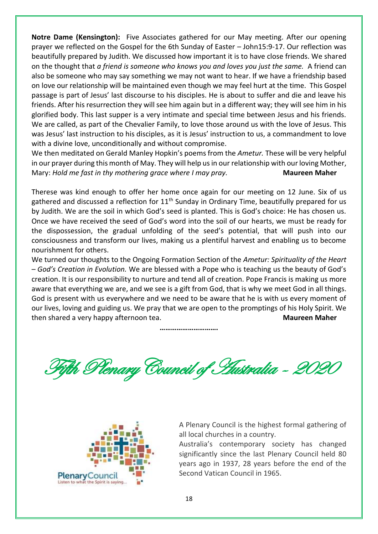**Notre Dame (Kensington):** Five Associates gathered for our May meeting. After our opening prayer we reflected on the Gospel for the 6th Sunday of Easter – John15:9-17. Our reflection was beautifully prepared by Judith. We discussed how important it is to have close friends. We shared on the thought that *a friend is someone who knows you and loves you just the same.* A friend can also be someone who may say something we may not want to hear. If we have a friendship based on love our relationship will be maintained even though we may feel hurt at the time. This Gospel passage is part of Jesus' last discourse to his disciples. He is about to suffer and die and leave his friends. After his resurrection they will see him again but in a different way; they will see him in his glorified body. This last supper is a very intimate and special time between Jesus and his friends. We are called, as part of the Chevalier Family, to love those around us with the love of Jesus. This was Jesus' last instruction to his disciples, as it is Jesus' instruction to us, a commandment to love with a divine love, unconditionally and without compromise.

We then meditated on Gerald Manley Hopkin's poems from the *Ametur.* These will be very helpful in our prayer during this month of May. They will help us in our relationship with our loving Mother, Mary: *Hold me fast in thy mothering grace where I may pray.* **Maureen Maher**

Therese was kind enough to offer her home once again for our meeting on 12 June. Six of us gathered and discussed a reflection for 11<sup>th</sup> Sunday in Ordinary Time, beautifully prepared for us by Judith. We are the soil in which God's seed is planted. This is God's choice: He has chosen us. Once we have received the seed of God's word into the soil of our hearts, we must be ready for the dispossession, the gradual unfolding of the seed's potential, that will push into our consciousness and transform our lives, making us a plentiful harvest and enabling us to become nourishment for others.

We turned our thoughts to the Ongoing Formation Section of the *Ametur: Spirituality of the Heart – God's Creation in Evolution.* We are blessed with a Pope who is teaching us the beauty of God's creation. It is our responsibility to nurture and tend all of creation. Pope Francis is making us more aware that everything we are, and we see is a gift from God, that is why we meet God in all things. God is present with us everywhere and we need to be aware that he is with us every moment of our lives, loving and guiding us. We pray that we are open to the promptings of his Holy Spirit. We then shared a very happy afternoon tea. **Maureen Maher** 

**………………………….**

Fifth Plenary Council of Australia - 2020



A Plenary Council is the highest formal gathering of all local churches in a country.

Australia's contemporary society has changed significantly since the last Plenary Council held 80 years ago in 1937, 28 years before the end of the Second Vatican Council in 1965.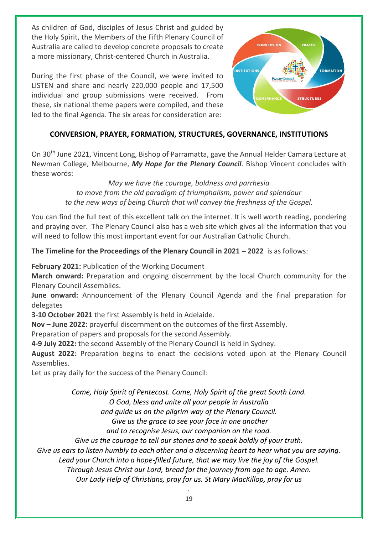As children of God, disciples of Jesus Christ and guided by the Holy Spirit, the Members of the Fifth Plenary Council of Australia are called to develop concrete proposals to create a more missionary, Christ-centered Church in Australia.

During the first phase of the Council, we were invited to LISTEN and share and nearly 220,000 people and 17,500 individual and group submissions were received. From these, six national theme papers were compiled, and these led to the final Agenda. The six areas for consideration are:



### **CONVERSION, PRAYER, FORMATION, STRUCTURES, GOVERNANCE, INSTITUTIONS**

On 30th June 2021, Vincent Long, Bishop of Parramatta, gave the Annual Helder Camara Lecture at Newman College, Melbourne, *My Hope for the Plenary Council*. Bishop Vincent concludes with these words:

> *May we have the courage, boldness and parrhesia to move from the old paradigm of triumphalism, power and splendour to the new ways of being Church that will convey the freshness of the Gospel.*

You can find the full text of this excellent talk on the internet. It is well worth reading, pondering and praying over. The Plenary Council also has a web site which gives all the information that you will need to follow this most important event for our Australian Catholic Church.

**The Timeline for the Proceedings of the Plenary Council in 2021 – 2022** is as follows:

**February 2021:** Publication of the Working Document

**March onward:** Preparation and ongoing discernment by the local Church community for the Plenary Council Assemblies.

**June onward:** Announcement of the Plenary Council Agenda and the final preparation for delegates

**3-10 October 2021** the first Assembly is held in Adelaide.

**Nov – June 2022:** prayerful discernment on the outcomes of the first Assembly.

Preparation of papers and proposals for the second Assembly.

**4-9 July 2022:** the second Assembly of the Plenary Council is held in Sydney.

**August 2022**: Preparation begins to enact the decisions voted upon at the Plenary Council Assemblies.

Let us pray daily for the success of the Plenary Council:

*Come, Holy Spirit of Pentecost. Come, Holy Spirit of the great South Land.*

*O God, bless and unite all your people in Australia* 

*and guide us on the pilgrim way of the Plenary Council.*

*Give us the grace to see your face in one another* 

*and to recognise Jesus, our companion on the road.* 

*Give us the courage to tell our stories and to speak boldly of your truth.* 

*Give us ears to listen humbly to each other and a discerning heart to hear what you are saying.* 

*Lead your Church into a hope-filled future, that we may live the joy of the Gospel.* 

*Through Jesus Christ our Lord, bread for the journey from age to age. Amen.*

*Our Lady Help of Christians, pray for us. St Mary MacKillop, pray for us*